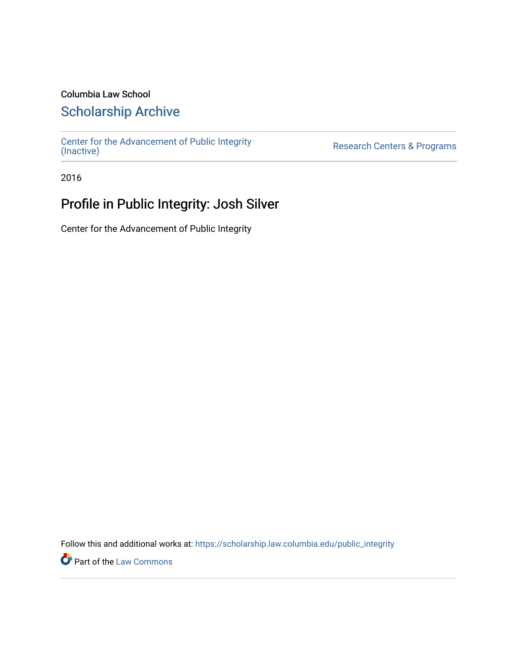### Columbia Law School

### [Scholarship Archive](https://scholarship.law.columbia.edu/)

[Center for the Advancement of Public Integrity](https://scholarship.law.columbia.edu/public_integrity)<br>(Inactive)

Research Centers & Programs

2016

## Profile in Public Integrity: Josh Silver

Center for the Advancement of Public Integrity

Follow this and additional works at: [https://scholarship.law.columbia.edu/public\\_integrity](https://scholarship.law.columbia.edu/public_integrity?utm_source=scholarship.law.columbia.edu%2Fpublic_integrity%2F92&utm_medium=PDF&utm_campaign=PDFCoverPages)

**Part of the [Law Commons](http://network.bepress.com/hgg/discipline/578?utm_source=scholarship.law.columbia.edu%2Fpublic_integrity%2F92&utm_medium=PDF&utm_campaign=PDFCoverPages)**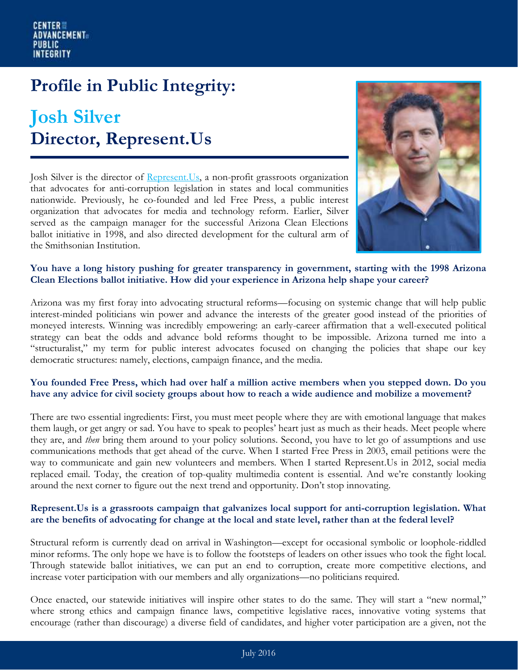# **Profile in Public Integrity:**

## **Josh Silver Director, Represent.Us**

Josh Silver is the director of [Represent.Us,](https://represent.us/) a non-profit grassroots organization that advocates for anti-corruption legislation in states and local communities nationwide. Previously, he co-founded and led Free Press, a public interest organization that advocates for media and technology reform. Earlier, Silver served as the campaign manager for the successful Arizona Clean Elections ballot initiative in 1998, and also directed development for the cultural arm of the Smithsonian Institution.



#### **You have a long history pushing for greater transparency in government, starting with the 1998 Arizona Clean Elections ballot initiative. How did your experience in Arizona help shape your career?**

Arizona was my first foray into advocating structural reforms—focusing on systemic change that will help public interest-minded politicians win power and advance the interests of the greater good instead of the priorities of moneyed interests. Winning was incredibly empowering: an early-career affirmation that a well-executed political strategy can beat the odds and advance bold reforms thought to be impossible. Arizona turned me into a "structuralist," my term for public interest advocates focused on changing the policies that shape our key democratic structures: namely, elections, campaign finance, and the media.

#### **You founded Free Press, which had over half a million active members when you stepped down. Do you have any advice for civil society groups about how to reach a wide audience and mobilize a movement?**

There are two essential ingredients: First, you must meet people where they are with emotional language that makes them laugh, or get angry or sad. You have to speak to peoples' heart just as much as their heads. Meet people where they are, and *then* bring them around to your policy solutions. Second, you have to let go of assumptions and use communications methods that get ahead of the curve. When I started Free Press in 2003, email petitions were the way to communicate and gain new volunteers and members. When I started Represent.Us in 2012, social media replaced email. Today, the creation of top-quality multimedia content is essential. And we're constantly looking around the next corner to figure out the next trend and opportunity. Don't stop innovating.

#### **Represent.Us is a grassroots campaign that galvanizes local support for anti-corruption legislation. What are the benefits of advocating for change at the local and state level, rather than at the federal level?**

Structural reform is currently dead on arrival in Washington—except for occasional symbolic or loophole-riddled minor reforms. The only hope we have is to follow the footsteps of leaders on other issues who took the fight local. Through statewide ballot initiatives, we can put an end to corruption, create more competitive elections, and increase voter participation with our members and ally organizations—no politicians required.

Once enacted, our statewide initiatives will inspire other states to do the same. They will start a "new normal," where strong ethics and campaign finance laws, competitive legislative races, innovative voting systems that encourage (rather than discourage) a diverse field of candidates, and higher voter participation are a given, not the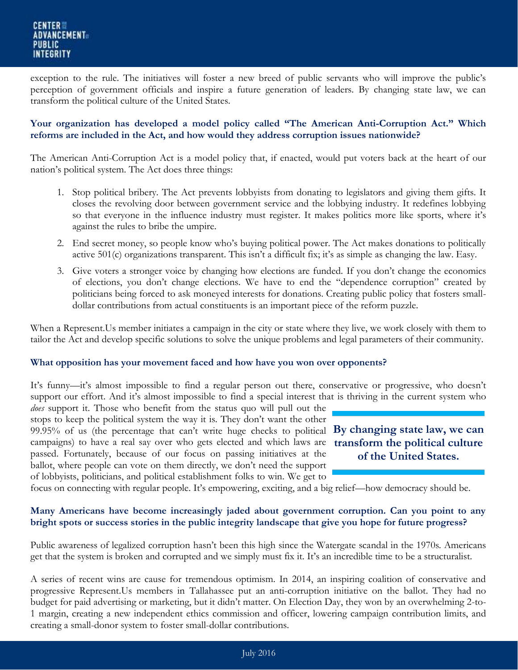exception to the rule. The initiatives will foster a new breed of public servants who will improve the public's perception of government officials and inspire a future generation of leaders. By changing state law, we can transform the political culture of the United States.

#### **Your organization has developed a model policy called "The American Anti-Corruption Act." Which reforms are included in the Act, and how would they address corruption issues nationwide?**

The American Anti-Corruption Act is a model policy that, if enacted, would put voters back at the heart of our nation's political system. The Act does three things:

- 1. Stop political bribery. The Act prevents lobbyists from donating to legislators and giving them gifts. It closes the revolving door between government service and the lobbying industry. It redefines lobbying so that everyone in the influence industry must register. It makes politics more like sports, where it's against the rules to bribe the umpire.
- 2. End secret money, so people know who's buying political power. The Act makes donations to politically active 501(c) organizations transparent. This isn't a difficult fix; it's as simple as changing the law. Easy.
- 3. Give voters a stronger voice by changing how elections are funded. If you don't change the economics of elections, you don't change elections. We have to end the "dependence corruption" created by politicians being forced to ask moneyed interests for donations. Creating public policy that fosters smalldollar contributions from actual constituents is an important piece of the reform puzzle.

When a Represent.Us member initiates a campaign in the city or state where they live, we work closely with them to tailor the Act and develop specific solutions to solve the unique problems and legal parameters of their community.

#### **What opposition has your movement faced and how have you won over opponents?**

It's funny—it's almost impossible to find a regular person out there, conservative or progressive, who doesn't support our effort. And it's almost impossible to find a special interest that is thriving in the current system who

99.95% of us (the percentage that can't write huge checks to political **By changing state law, we can transform the political culture**  campaigns) to have a real say over who gets elected and which laws are *does* support it. Those who benefit from the status quo will pull out the stops to keep the political system the way it is. They don't want the other passed. Fortunately, because of our focus on passing initiatives at the ballot, where people can vote on them directly, we don't need the support of lobbyists, politicians, and political establishment folks to win. We get to



focus on connecting with regular people. It's empowering, exciting, and a big relief—how democracy should be.

#### **Many Americans have become increasingly jaded about government corruption. Can you point to any bright spots or success stories in the public integrity landscape that give you hope for future progress?**

Public awareness of legalized corruption hasn't been this high since the Watergate scandal in the 1970s. Americans get that the system is broken and corrupted and we simply must fix it. It's an incredible time to be a structuralist.

A series of recent wins are cause for tremendous optimism. In 2014, an inspiring coalition of conservative and progressive Represent.Us members in Tallahassee put an anti-corruption initiative on the ballot. They had no budget for paid advertising or marketing, but it didn't matter. On Election Day, they won by an overwhelming 2-to-1 margin, creating a new independent ethics commission and officer, lowering campaign contribution limits, and creating a small-donor system to foster small-dollar contributions.